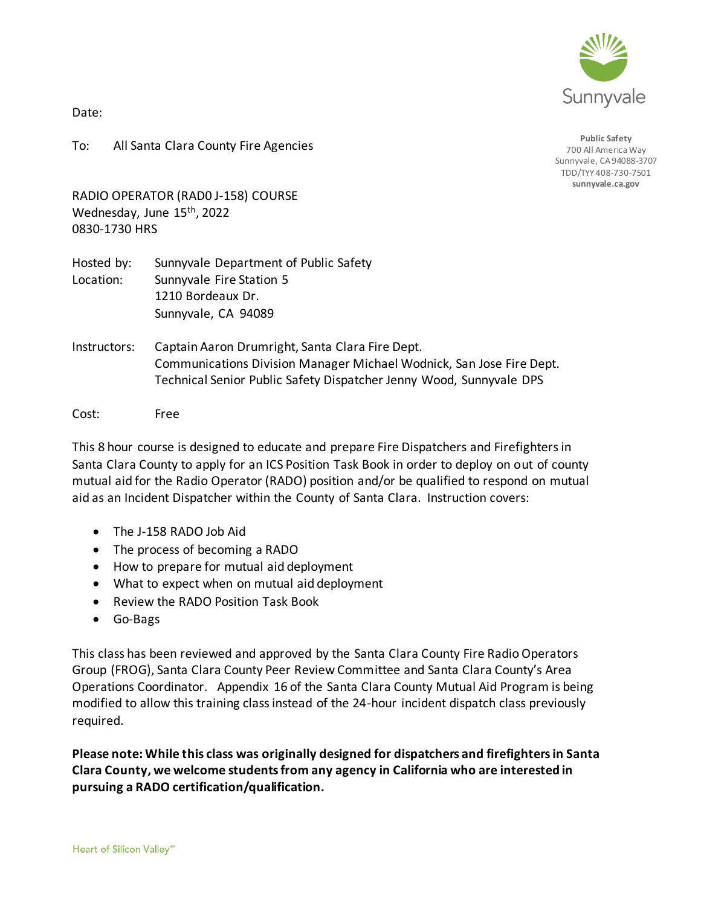

Date:

To: All Santa Clara County Fire Agencies

**Public Safety** 700 All America Way Sunnyvale, CA 94088-3707 TDD/TYY 408-730-7501 **sunnyvale.ca.gov**

RADIO OPERATOR (RAD0 J-158) COURSE Wednesday, June 15<sup>th</sup>, 2022 0830-1730 HRS

Hosted by: Sunnyvale Department of Public Safety Location: Sunnyvale Fire Station 5 1210 Bordeaux Dr. Sunnyvale, CA 94089

Instructors: Captain Aaron Drumright, Santa Clara Fire Dept. Communications Division Manager Michael Wodnick, San Jose Fire Dept. Technical Senior Public Safety Dispatcher Jenny Wood, Sunnyvale DPS

Cost: Free

This 8 hour course is designed to educate and prepare Fire Dispatchers and Firefighters in Santa Clara County to apply for an ICS Position Task Book in order to deploy on out of county mutual aid for the Radio Operator (RADO) position and/or be qualified to respond on mutual aid as an Incident Dispatcher within the County of Santa Clara. Instruction covers:

- The J-158 RADO Job Aid
- The process of becoming a RADO
- How to prepare for mutual aid deployment
- What to expect when on mutual aid deployment
- Review the RADO Position Task Book
- Go-Bags

This class has been reviewed and approved by the Santa Clara County Fire Radio Operators Group (FROG), Santa Clara County Peer Review Committee and Santa Clara County's Area Operations Coordinator. Appendix 16 of the Santa Clara County Mutual Aid Program is being modified to allow this training class instead of the 24-hour incident dispatch class previously required.

**Please note: While this class was originally designed for dispatchers and firefighters in Santa Clara County, we welcome students from any agency in California who are interested in pursuing a RADO certification/qualification.**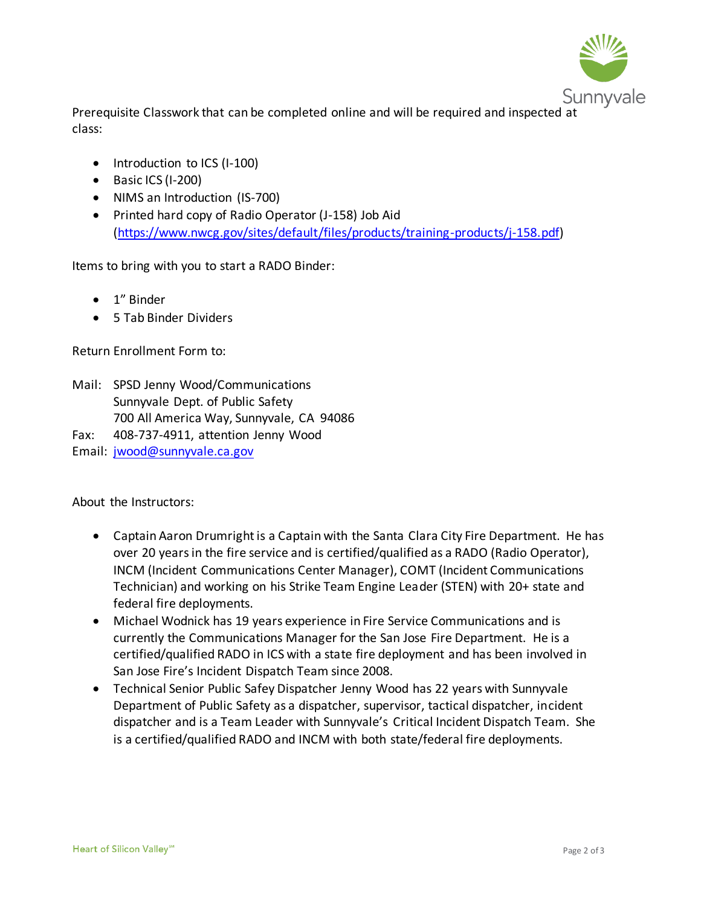

Prerequisite Classwork that can be completed online and will be required and inspected at class:

- Introduction to ICS (I-100)
- Basic ICS (I-200)
- NIMS an Introduction (IS-700)
- Printed hard copy of Radio Operator (J-158) Job Aid [\(https://www.nwcg.gov/sites/default/files/products/training-products/j-158.pdf\)](https://www.nwcg.gov/sites/default/files/products/training-products/j-158.pdf)

Items to bring with you to start a RADO Binder:

- 1" Binder
- 5 Tab Binder Dividers

Return Enrollment Form to:

- Mail: SPSD Jenny Wood/Communications Sunnyvale Dept. of Public Safety 700 All America Way, Sunnyvale, CA 94086
- Fax: 408-737-4911, attention Jenny Wood

Email: [jwood@sunnyvale.ca.gov](mailto:jwood@sunnyvale.ca.gov)

About the Instructors:

- Captain Aaron Drumright is a Captain with the Santa Clara City Fire Department. He has over 20 years in the fire service and is certified/qualified as a RADO (Radio Operator), INCM (Incident Communications Center Manager), COMT (Incident Communications Technician) and working on his Strike Team Engine Leader (STEN) with 20+ state and federal fire deployments.
- Michael Wodnick has 19 years experience in Fire Service Communications and is currently the Communications Manager for the San Jose Fire Department. He is a certified/qualified RADO in ICS with a state fire deployment and has been involved in San Jose Fire's Incident Dispatch Team since 2008.
- Technical Senior Public Safey Dispatcher Jenny Wood has 22 years with Sunnyvale Department of Public Safety as a dispatcher, supervisor, tactical dispatcher, incident dispatcher and is a Team Leader with Sunnyvale's Critical Incident Dispatch Team. She is a certified/qualified RADO and INCM with both state/federal fire deployments.